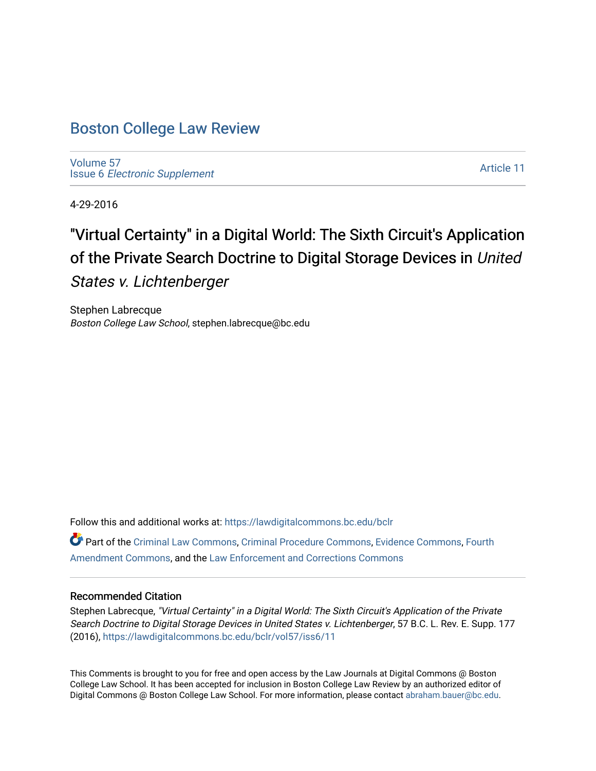# [Boston College Law Review](https://lawdigitalcommons.bc.edu/bclr)

[Volume 57](https://lawdigitalcommons.bc.edu/bclr/vol57) Issue 6 [Electronic Supplement](https://lawdigitalcommons.bc.edu/bclr/vol57/iss6) 

[Article 11](https://lawdigitalcommons.bc.edu/bclr/vol57/iss6/11) 

4-29-2016

# "Virtual Certainty" in a Digital World: The Sixth Circuit's Application of the Private Search Doctrine to Digital Storage Devices in United States v. Lichtenberger

Stephen Labrecque Boston College Law School, stephen.labrecque@bc.edu

Follow this and additional works at: [https://lawdigitalcommons.bc.edu/bclr](https://lawdigitalcommons.bc.edu/bclr?utm_source=lawdigitalcommons.bc.edu%2Fbclr%2Fvol57%2Fiss6%2F11&utm_medium=PDF&utm_campaign=PDFCoverPages)  Part of the [Criminal Law Commons,](http://network.bepress.com/hgg/discipline/912?utm_source=lawdigitalcommons.bc.edu%2Fbclr%2Fvol57%2Fiss6%2F11&utm_medium=PDF&utm_campaign=PDFCoverPages) [Criminal Procedure Commons,](http://network.bepress.com/hgg/discipline/1073?utm_source=lawdigitalcommons.bc.edu%2Fbclr%2Fvol57%2Fiss6%2F11&utm_medium=PDF&utm_campaign=PDFCoverPages) [Evidence Commons](http://network.bepress.com/hgg/discipline/601?utm_source=lawdigitalcommons.bc.edu%2Fbclr%2Fvol57%2Fiss6%2F11&utm_medium=PDF&utm_campaign=PDFCoverPages), [Fourth](http://network.bepress.com/hgg/discipline/1180?utm_source=lawdigitalcommons.bc.edu%2Fbclr%2Fvol57%2Fiss6%2F11&utm_medium=PDF&utm_campaign=PDFCoverPages)  [Amendment Commons](http://network.bepress.com/hgg/discipline/1180?utm_source=lawdigitalcommons.bc.edu%2Fbclr%2Fvol57%2Fiss6%2F11&utm_medium=PDF&utm_campaign=PDFCoverPages), and the [Law Enforcement and Corrections Commons](http://network.bepress.com/hgg/discipline/854?utm_source=lawdigitalcommons.bc.edu%2Fbclr%2Fvol57%2Fiss6%2F11&utm_medium=PDF&utm_campaign=PDFCoverPages) 

#### Recommended Citation

Stephen Labrecque, "Virtual Certainty" in a Digital World: The Sixth Circuit's Application of the Private Search Doctrine to Digital Storage Devices in United States v. Lichtenberger, 57 B.C. L. Rev. E. Supp. 177 (2016), [https://lawdigitalcommons.bc.edu/bclr/vol57/iss6/11](https://lawdigitalcommons.bc.edu/bclr/vol57/iss6/11?utm_source=lawdigitalcommons.bc.edu%2Fbclr%2Fvol57%2Fiss6%2F11&utm_medium=PDF&utm_campaign=PDFCoverPages) 

This Comments is brought to you for free and open access by the Law Journals at Digital Commons @ Boston College Law School. It has been accepted for inclusion in Boston College Law Review by an authorized editor of Digital Commons @ Boston College Law School. For more information, please contact [abraham.bauer@bc.edu](mailto:abraham.bauer@bc.edu).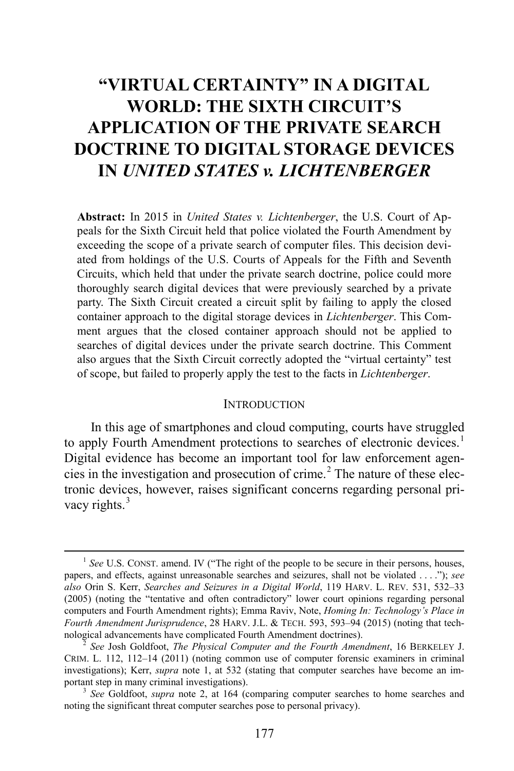# **"VIRTUAL CERTAINTY" IN A DIGITAL WORLD: THE SIXTH CIRCUIT'S APPLICATION OF THE PRIVATE SEARCH DOCTRINE TO DIGITAL STORAGE DEVICES IN** *UNITED STATES v. LICHTENBERGER*

**Abstract:** In 2015 in *United States v. Lichtenberger*, the U.S. Court of Appeals for the Sixth Circuit held that police violated the Fourth Amendment by exceeding the scope of a private search of computer files. This decision deviated from holdings of the U.S. Courts of Appeals for the Fifth and Seventh Circuits, which held that under the private search doctrine, police could more thoroughly search digital devices that were previously searched by a private party. The Sixth Circuit created a circuit split by failing to apply the closed container approach to the digital storage devices in *Lichtenberger*. This Comment argues that the closed container approach should not be applied to searches of digital devices under the private search doctrine. This Comment also argues that the Sixth Circuit correctly adopted the "virtual certainty" test of scope, but failed to properly apply the test to the facts in *Lichtenberger*.

#### <span id="page-1-1"></span><span id="page-1-0"></span>**INTRODUCTION**

In this age of smartphones and cloud computing, courts have struggled to apply Fourth Amendment protections to searches of electronic devices.<sup>[1](#page-1-2)</sup> Digital evidence has become an important tool for law enforcement agen-cies in the investigation and prosecution of crime.<sup>[2](#page-1-3)</sup> The nature of these electronic devices, however, raises significant concerns regarding personal pri-vacy rights.<sup>[3](#page-1-4)</sup>

<span id="page-1-2"></span><sup>&</sup>lt;sup>1</sup> See U.S. CONST. amend. IV ("The right of the people to be secure in their persons, houses, papers, and effects, against unreasonable searches and seizures, shall not be violated . . . ."); *see also* Orin S. Kerr, *Searches and Seizures in a Digital World*, 119 HARV. L. REV. 531, 532–33 (2005) (noting the "tentative and often contradictory" lower court opinions regarding personal computers and Fourth Amendment rights); Emma Raviv, Note, *Homing In: Technology's Place in Fourth Amendment Jurisprudence*, 28 HARV. J.L. & TECH. 593, 593–94 (2015) (noting that technological advancements have complicated Fourth Amendment doctrines). <sup>2</sup> *See* Josh Goldfoot, *The Physical Computer and the Fourth Amendment*, 16 BERKELEY J.

<span id="page-1-3"></span>CRIM. L. 112, 112–14 (2011) (noting common use of computer forensic examiners in criminal investigations); Kerr, *supra* note [1,](#page-1-0) at 532 (stating that computer searches have become an im-<br>portant step in many criminal investigations).

<span id="page-1-4"></span><sup>&</sup>lt;sup>3</sup> See Goldfoot, *supra* note [2,](#page-1-1) at 164 (comparing computer searches to home searches and noting the significant threat computer searches pose to personal privacy).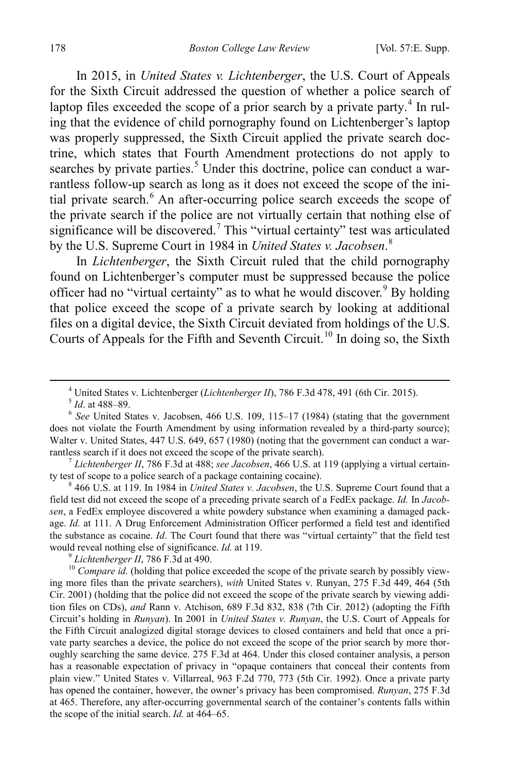In 2015, in *United States v. Lichtenberger*, the U.S. Court of Appeals for the Sixth Circuit addressed the question of whether a police search of laptop files exceeded the scope of a prior search by a private party.<sup>[4](#page-2-0)</sup> In ruling that the evidence of child pornography found on Lichtenberger's laptop was properly suppressed, the Sixth Circuit applied the private search doctrine, which states that Fourth Amendment protections do not apply to searches by private parties.<sup>[5](#page-2-1)</sup> Under this doctrine, police can conduct a warrantless follow-up search as long as it does not exceed the scope of the ini-tial private search.<sup>[6](#page-2-2)</sup> An after-occurring police search exceeds the scope of the private search if the police are not virtually certain that nothing else of significance will be discovered.<sup>[7](#page-2-3)</sup> This "virtual certainty" test was articulated by the U.S. Supreme Court in 1984 in *United States v. Jacobsen*. [8](#page-2-4)

In *Lichtenberger*, the Sixth Circuit ruled that the child pornography found on Lichtenberger's computer must be suppressed because the police officer had no "virtual certainty" as to what he would discover.<sup>[9](#page-2-5)</sup> By holding that police exceed the scope of a private search by looking at additional files on a digital device, the Sixth Circuit deviated from holdings of the U.S. Courts of Appeals for the Fifth and Seventh Circuit.<sup>[10](#page-2-6)</sup> In doing so, the Sixth

<span id="page-2-3"></span>rantless search if it does not exceed the scope of the private search).<br><sup>7</sup> *Lichtenberger II*, 786 F.3d at 488; *see Jacobsen*, 466 U.S. at 119 (applying a virtual certain-<br>ty test of scope to a police search of a package

<span id="page-2-4"></span> $8466$  U.S. at 119. In 1984 in *United States v. Jacobsen*, the U.S. Supreme Court found that a field test did not exceed the scope of a preceding private search of a FedEx package. *Id.* In *Jacobsen*, a FedEx employee discovered a white powdery substance when examining a damaged package. *Id.* at 111. A Drug Enforcement Administration Officer performed a field test and identified the substance as cocaine. *Id.* The Court found that there was "virtual certainty" that the field test would reveal nothing else of significance. *Id.* at 119.<br><sup>9</sup> *Lichtenberger II*, 786 F.3d at 490.<br><sup>10</sup> *Compare id.* (holding that police exceeded the scope of the private search by possibly view-

<span id="page-2-6"></span><span id="page-2-5"></span>ing more files than the private searchers), *with* United States v. Runyan, 275 F.3d 449, 464 (5th Cir. 2001) (holding that the police did not exceed the scope of the private search by viewing addition files on CDs), *and* Rann v. Atchison, 689 F.3d 832, 838 (7th Cir. 2012) (adopting the Fifth Circuit's holding in *Runyan*). In 2001 in *United States v. Runyan*, the U.S. Court of Appeals for the Fifth Circuit analogized digital storage devices to closed containers and held that once a private party searches a device, the police do not exceed the scope of the prior search by more thoroughly searching the same device. 275 F.3d at 464. Under this closed container analysis, a person has a reasonable expectation of privacy in "opaque containers that conceal their contents from plain view." United States v. Villarreal, 963 F.2d 770, 773 (5th Cir. 1992). Once a private party has opened the container, however, the owner's privacy has been compromised. *Runyan*, 275 F.3d at 465. Therefore, any after-occurring governmental search of the container's contents falls within the scope of the initial search. *Id.* at 464–65.

<sup>&</sup>lt;sup>4</sup> United States v. Lichtenberger (*Lichtenberger II*), 786 F.3d 478, 491 (6th Cir. 2015).<sup>5</sup> *Id.* at 488–89.

<span id="page-2-2"></span><span id="page-2-1"></span><span id="page-2-0"></span><sup>&</sup>lt;sup>6</sup> See United States v. Jacobsen, 466 U.S. 109, 115–17 (1984) (stating that the government does not violate the Fourth Amendment by using information revealed by a third-party source); Walter v. United States, 447 U.S. 649, 657 (1980) (noting that the government can conduct a war-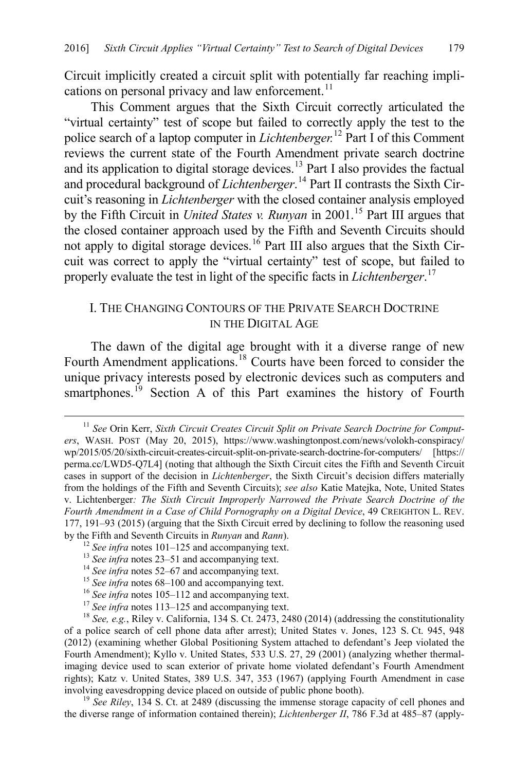<span id="page-3-9"></span>Circuit implicitly created a circuit split with potentially far reaching impli-cations on personal privacy and law enforcement.<sup>[11](#page-3-0)</sup>

This Comment argues that the Sixth Circuit correctly articulated the "virtual certainty" test of scope but failed to correctly apply the test to the police search of a laptop computer in *Lichtenberger.*[12](#page-3-1) Part I of this Comment reviews the current state of the Fourth Amendment private search doctrine and its application to digital storage devices.<sup>[13](#page-3-2)</sup> Part I also provides the factual and procedural background of *Lichtenberger*. [14](#page-3-3) Part II contrasts the Sixth Circuit's reasoning in *Lichtenberger* with the closed container analysis employed by the Fifth Circuit in *United States v. Runyan* in 2001. [15](#page-3-4) Part III argues that the closed container approach used by the Fifth and Seventh Circuits should not apply to digital storage devices.<sup>[16](#page-3-5)</sup> Part III also argues that the Sixth Circuit was correct to apply the "virtual certainty" test of scope, but failed to properly evaluate the test in light of the specific facts in *Lichtenberger*. [17](#page-3-6)

## I. THE CHANGING CONTOURS OF THE PRIVATE SEARCH DOCTRINE IN THE DIGITAL AGE

The dawn of the digital age brought with it a diverse range of new Fourth Amendment applications.<sup>[18](#page-3-7)</sup> Courts have been forced to consider the unique privacy interests posed by electronic devices such as computers and smartphones.<sup>[19](#page-3-8)</sup> Section A of this Part examines the history of Fourth

<span id="page-3-8"></span>the diverse range of information contained therein); *Lichtenberger II*, 786 F.3d at 485–87 (apply-

<span id="page-3-0"></span><sup>&</sup>lt;sup>11</sup> See Orin Kerr, Sixth Circuit Creates Circuit Split on Private Search Doctrine for Comput*ers*, WASH. POST (May 20, 2015), https://www.washingtonpost.com/news/volokh-conspiracy/ wp/2015/05/20/sixth-circuit-creates-circuit-split-on-private-search-doctrine-for-computers/ [https:// perma.cc/LWD5-Q7L4] (noting that although the Sixth Circuit cites the Fifth and Seventh Circuit cases in support of the decision in *Lichtenberger*, the Sixth Circuit's decision differs materially from the holdings of the Fifth and Seventh Circuits); *see also* Katie Matejka, Note, United States v. Lichtenberger*: The Sixth Circuit Improperly Narrowed the Private Search Doctrine of the Fourth Amendment in a Case of Child Pornography on a Digital Device*, 49 CREIGHTON L. REV. 177, 191–93 (2015) (arguing that the Sixth Circuit erred by declining to follow the reasoning used by the Fifth and Seventh Circuits in *Runyan* and *Rann*).<br><sup>12</sup> See infra note[s 101](#page-13-0)[–125](#page-16-0) and accompanying text.<br><sup>13</sup> See infra note[s 23–](#page-4-0)[51](#page-7-0) and accompanying text.<br><sup>14</sup> See infra note[s 52–](#page-7-1)[67](#page-9-0) and accompanying text.<br><sup>15</sup> See i

<span id="page-3-1"></span>

<span id="page-3-2"></span>

<span id="page-3-7"></span><span id="page-3-6"></span><span id="page-3-5"></span><span id="page-3-4"></span><span id="page-3-3"></span>of a police search of cell phone data after arrest); United States v. Jones, 123 S. Ct. 945, 948 (2012) (examining whether Global Positioning System attached to defendant's Jeep violated the Fourth Amendment); Kyllo v. United States, 533 U.S. 27, 29 (2001) (analyzing whether thermalimaging device used to scan exterior of private home violated defendant's Fourth Amendment rights); Katz v. United States, 389 U.S. 347, 353 (1967) (applying Fourth Amendment in case involving eavesdropping device placed on outside of public phone booth). <sup>19</sup> *See Riley*, 134 S. Ct. at 2489 (discussing the immense storage capacity of cell phones and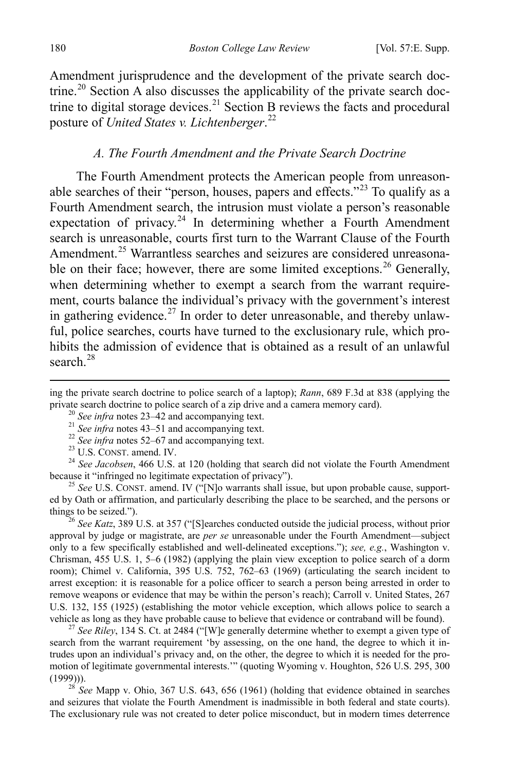Amendment jurisprudence and the development of the private search doc-trine.<sup>[20](#page-4-1)</sup> Section A also discusses the applicability of the private search doc-trine to digital storage devices.<sup>[21](#page-4-2)</sup> Section B reviews the facts and procedural posture of *United States v. Lichtenberger*. [22](#page-4-3)

#### <span id="page-4-0"></span>*A. The Fourth Amendment and the Private Search Doctrine*

The Fourth Amendment protects the American people from unreason-able searches of their "person, houses, papers and effects."<sup>[23](#page-4-4)</sup> To qualify as a Fourth Amendment search, the intrusion must violate a person's reasonable expectation of privacy. $24$  In determining whether a Fourth Amendment search is unreasonable, courts first turn to the Warrant Clause of the Fourth Amendment.<sup>[25](#page-4-6)</sup> Warrantless searches and seizures are considered unreasona-ble on their face; however, there are some limited exceptions.<sup>[26](#page-4-7)</sup> Generally, when determining whether to exempt a search from the warrant requirement, courts balance the individual's privacy with the government's interest in gathering evidence.<sup>[27](#page-4-8)</sup> In order to deter unreasonable, and thereby unlawful, police searches, courts have turned to the exclusionary rule, which prohibits the admission of evidence that is obtained as a result of an unlawful search  $^{28}$  $^{28}$  $^{28}$ 

<span id="page-4-3"></span><span id="page-4-2"></span><span id="page-4-1"></span><sup>20</sup> See infra notes [23](#page-4-0)[–42](#page-6-0) and accompanying text.<br>
<sup>21</sup> See infra notes [43](#page-6-1)[–51](#page-7-0) and accompanying text.<br>
<sup>22</sup> See infra notes [52](#page-7-1)[–67](#page-9-0) and accompanying text.<br>
<sup>23</sup> U.S. CONST. amend. IV.<br>
<sup>24</sup> See Jacobsen, 466 U.S. at 120 (hol

<span id="page-4-6"></span><span id="page-4-5"></span><span id="page-4-4"></span><sup>25</sup> See U.S. CONST. amend. IV ("[N]o warrants shall issue, but upon probable cause, supported by Oath or affirmation, and particularly describing the place to be searched, and the persons or things to be seized.").

<span id="page-4-7"></span><sup>26</sup> See Katz, 389 U.S. at 357 ("[S]earches conducted outside the judicial process, without prior approval by judge or magistrate, are *per se* unreasonable under the Fourth Amendment—subject only to a few specifically established and well-delineated exceptions."); *see, e.g.*, Washington v. Chrisman, 455 U.S. 1, 5–6 (1982) (applying the plain view exception to police search of a dorm room); Chimel v. California, 395 U.S. 752, 762–63 (1969) (articulating the search incident to arrest exception: it is reasonable for a police officer to search a person being arrested in order to remove weapons or evidence that may be within the person's reach); Carroll v. United States, 267 U.S. 132, 155 (1925) (establishing the motor vehicle exception, which allows police to search a vehicle as long as they have probable cause to believe that evidence or contraband will be found).

<span id="page-4-8"></span><sup>27</sup> *See Riley*, 134 S. Ct. at 2484 ("[W]e generally determine whether to exempt a given type of search from the warrant requirement 'by assessing, on the one hand, the degree to which it intrudes upon an individual's privacy and, on the other, the degree to which it is needed for the promotion of legitimate governmental interests.'" (quoting Wyoming v. Houghton, 526 U.S. 295, 300 (1999))). <sup>28</sup> *See* Mapp v. Ohio, 367 U.S. 643, 656 (1961) (holding that evidence obtained in searches

<span id="page-4-9"></span>and seizures that violate the Fourth Amendment is inadmissible in both federal and state courts). The exclusionary rule was not created to deter police misconduct, but in modern times deterrence

ing the private search doctrine to police search of a laptop); *Rann*, 689 F.3d at 838 (applying the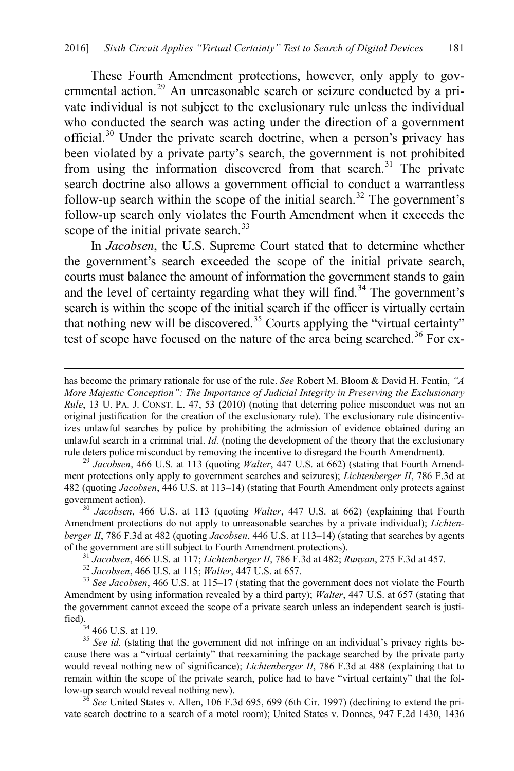These Fourth Amendment protections, however, only apply to gov-ernmental action.<sup>[29](#page-5-0)</sup> An unreasonable search or seizure conducted by a private individual is not subject to the exclusionary rule unless the individual who conducted the search was acting under the direction of a government official.[30](#page-5-1) Under the private search doctrine, when a person's privacy has been violated by a private party's search, the government is not prohibited from using the information discovered from that search.<sup>[31](#page-5-2)</sup> The private search doctrine also allows a government official to conduct a warrantless follow-up search within the scope of the initial search.<sup>[32](#page-5-3)</sup> The government's follow-up search only violates the Fourth Amendment when it exceeds the scope of the initial private search. $33$ 

In *Jacobsen*, the U.S. Supreme Court stated that to determine whether the government's search exceeded the scope of the initial private search, courts must balance the amount of information the government stands to gain and the level of certainty regarding what they will find.<sup>[34](#page-5-5)</sup> The government's search is within the scope of the initial search if the officer is virtually certain that nothing new will be discovered.[35](#page-5-6) Courts applying the "virtual certainty" test of scope have focused on the nature of the area being searched.<sup>[36](#page-5-7)</sup> For ex-

<span id="page-5-0"></span>ment protections only apply to government searches and seizures); *Lichtenberger II*, 786 F.3d at 482 (quoting *Jacobsen*, 446 U.S. at 113–14) (stating that Fourth Amendment only protects against government action). <sup>30</sup> *Jacobsen*, 466 U.S. at 113 (quoting *Walter*, 447 U.S. at 662) (explaining that Fourth

<span id="page-5-1"></span>Amendment protections do not apply to unreasonable searches by a private individual); *Lichtenberger II*, 786 F.3d at 482 (quoting *Jacobsen*, 446 U.S. at 113–14) (stating that searches by agents

<sup>31</sup> Jacobsen, 466 U.S. at 117; *Lichtenberger II*, 786 F.3d at 482; *Runyan*, 275 F.3d at 457.<br><sup>32</sup> Jacobsen, 466 U.S. at 115; *Walter*, 447 U.S. at 657.<br><sup>33</sup> See Jacobsen, 466 U.S. at 115–17 (stating that the government

<span id="page-5-4"></span><span id="page-5-3"></span><span id="page-5-2"></span>Amendment by using information revealed by a third party); *Walter*, 447 U.S. at 657 (stating that the government cannot exceed the scope of a private search unless an independent search is justified).<br> $^{34}$  466 U.S. at 119.

<span id="page-5-6"></span><span id="page-5-5"></span> $35$  *See id.* (stating that the government did not infringe on an individual's privacy rights because there was a "virtual certainty" that reexamining the package searched by the private party would reveal nothing new of significance); *Lichtenberger II*, 786 F.3d at 488 (explaining that to remain within the scope of the private search, police had to have "virtual certainty" that the follow-up search would reveal nothing new). 36 *See* United States v. Allen, 106 F.3d 695, 699 (6th Cir. 1997) (declining to extend the pri-

<span id="page-5-7"></span>vate search doctrine to a search of a motel room); United States v. Donnes, 947 F.2d 1430, 1436

has become the primary rationale for use of the rule. *See* Robert M. Bloom & David H. Fentin, *"A More Majestic Conception": The Importance of Judicial Integrity in Preserving the Exclusionary Rule*, 13 U. PA. J. CONST. L. 47, 53 (2010) (noting that deterring police misconduct was not an original justification for the creation of the exclusionary rule). The exclusionary rule disincentivizes unlawful searches by police by prohibiting the admission of evidence obtained during an unlawful search in a criminal trial. *Id.* (noting the development of the theory that the exclusionary rule deters police misconduct by removing the incentive to disregard the Fourth Amendment). <sup>29</sup> *Jacobsen*, 466 U.S. at 113 (quoting *Walter*, 447 U.S. at 662) (stating that Fourth Amend-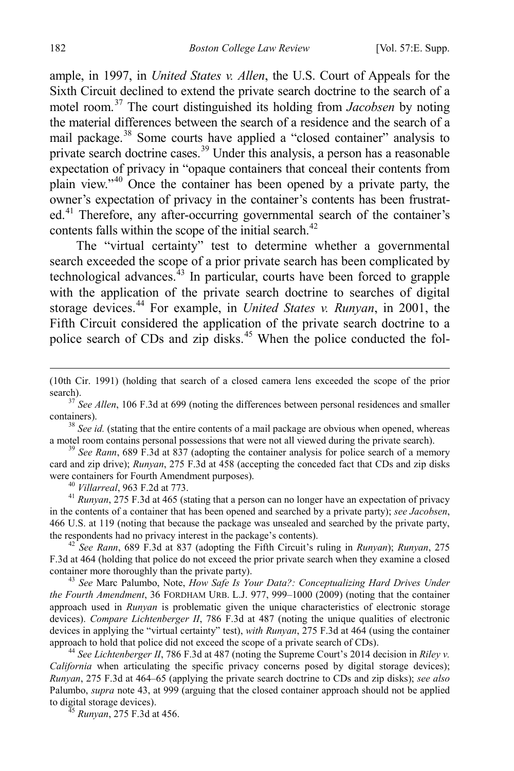ample, in 1997, in *United States v. Allen*, the U.S. Court of Appeals for the Sixth Circuit declined to extend the private search doctrine to the search of a motel room.[37](#page-6-2) The court distinguished its holding from *Jacobsen* by noting the material differences between the search of a residence and the search of a mail package.<sup>[38](#page-6-3)</sup> Some courts have applied a "closed container" analysis to private search doctrine cases.[39](#page-6-4) Under this analysis, a person has a reasonable expectation of privacy in "opaque containers that conceal their contents from plain view."[40](#page-6-5) Once the container has been opened by a private party, the owner's expectation of privacy in the container's contents has been frustrat-ed.<sup>[41](#page-6-6)</sup> Therefore, any after-occurring governmental search of the container's contents falls within the scope of the initial search.<sup>[42](#page-6-7)</sup>

<span id="page-6-1"></span><span id="page-6-0"></span>The "virtual certainty" test to determine whether a governmental search exceeded the scope of a prior private search has been complicated by technological advances. $^{43}$  $^{43}$  $^{43}$  In particular, courts have been forced to grapple with the application of the private search doctrine to searches of digital storage devices.<sup>[44](#page-6-9)</sup> For example, in *United States v. Runyan*, in 2001, the Fifth Circuit considered the application of the private search doctrine to a police search of CDs and zip disks.<sup>[45](#page-6-10)</sup> When the police conducted the fol-

<span id="page-6-3"></span>a motel room contains personal possessions that were not all viewed during the private search). <sup>39</sup> *See Rann*, 689 F.3d at 837 (adopting the container analysis for police search of a memory

<span id="page-6-4"></span>card and zip drive); *Runyan*, 275 F.3d at 458 (accepting the conceded fact that CDs and zip disks were containers for Fourth Amendment purposes).<br><sup>40</sup> *Villarreal*, 963 F.2d at 773.<br><sup>41</sup> *Runyan*, 275 F.3d at 465 (stating that a person can no longer have an expectation of privacy

<span id="page-6-6"></span><span id="page-6-5"></span>in the contents of a container that has been opened and searched by a private party); *see Jacobsen*, 466 U.S. at 119 (noting that because the package was unsealed and searched by the private party, the respondents had no privacy interest in the package's contents).

<span id="page-6-7"></span> $t^{42}$  *See Rann*, 689 F.3d at 837 (adopting the Fifth Circuit's ruling in *Runyan*); *Runyan*, 275 F.3d at 464 (holding that police do not exceed the prior private search when they examine a closed container more thoroughly than the private party). 43 *See* Marc Palumbo, Note, *How Safe Is Your Data?: Conceptualizing Hard Drives Under* 

<span id="page-6-8"></span>*the Fourth Amendment*, 36 FORDHAM URB. L.J. 977, 999–1000 (2009) (noting that the container approach used in *Runyan* is problematic given the unique characteristics of electronic storage devices). *Compare Lichtenberger II*, 786 F.3d at 487 (noting the unique qualities of electronic devices in applying the "virtual certainty" test), *with Runyan*, 275 F.3d at 464 (using the container

<span id="page-6-9"></span><sup>44</sup> See Lichtenberger *II*, 786 F.3d at 487 (noting the Supreme Court's 2014 decision in *Riley v. California* when articulating the specific privacy concerns posed by digital storage devices); *Runyan*, 275 F.3d at 464–65 (applying the private search doctrine to CDs and zip disks); *see also*  Palumbo, *supra* not[e 43,](#page-6-1) at 999 (arguing that the closed container approach should not be applied to digital storage devices).

<span id="page-6-10"></span><sup>45</sup> *Runyan*, 275 F.3d at 456.

 <sup>(10</sup>th Cir. 1991) (holding that search of a closed camera lens exceeded the scope of the prior search).

<span id="page-6-2"></span><sup>&</sup>lt;sup>37</sup> See Allen, 106 F.3d at 699 (noting the differences between personal residences and smaller containers). <sup>38</sup> *See id.* (stating that the entire contents of a mail package are obvious when opened, whereas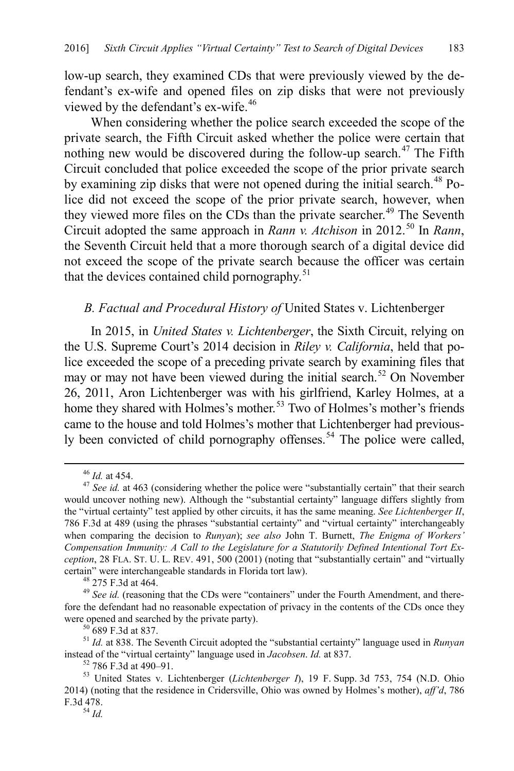low-up search, they examined CDs that were previously viewed by the defendant's ex-wife and opened files on zip disks that were not previously viewed by the defendant's ex-wife.<sup>[46](#page-7-2)</sup>

<span id="page-7-11"></span>When considering whether the police search exceeded the scope of the private search, the Fifth Circuit asked whether the police were certain that nothing new would be discovered during the follow-up search.<sup>[47](#page-7-3)</sup> The Fifth Circuit concluded that police exceeded the scope of the prior private search by examining zip disks that were not opened during the initial search.<sup>48</sup> Police did not exceed the scope of the prior private search, however, when they viewed more files on the CDs than the private searcher.<sup>[49](#page-7-5)</sup> The Seventh Circuit adopted the same approach in *Rann v. Atchison* in 2012. [50](#page-7-6) In *Rann*, the Seventh Circuit held that a more thorough search of a digital device did not exceed the scope of the private search because the officer was certain that the devices contained child pornography.<sup>[51](#page-7-7)</sup>

## <span id="page-7-1"></span><span id="page-7-0"></span>*B. Factual and Procedural History of* United States v. Lichtenberger

In 2015, in *United States v. Lichtenberger*, the Sixth Circuit, relying on the U.S. Supreme Court's 2014 decision in *Riley v. California*, held that police exceeded the scope of a preceding private search by examining files that may or may not have been viewed during the initial search.<sup>[52](#page-7-8)</sup> On November 26, 2011, Aron Lichtenberger was with his girlfriend, Karley Holmes, at a home they shared with Holmes's mother.<sup>[53](#page-7-9)</sup> Two of Holmes's mother's friends came to the house and told Holmes's mother that Lichtenberger had previous-ly been convicted of child pornography offenses.<sup>[54](#page-7-10)</sup> The police were called,

<span id="page-7-3"></span><span id="page-7-2"></span><sup>46</sup> *Id.* at 454. <sup>47</sup> *See id.* at 463 (considering whether the police were "substantially certain" that their search would uncover nothing new). Although the "substantial certainty" language differs slightly from the "virtual certainty" test applied by other circuits, it has the same meaning. *See Lichtenberger II*, 786 F.3d at 489 (using the phrases "substantial certainty" and "virtual certainty" interchangeably when comparing the decision to *Runyan*); *see also* John T. Burnett, *The Enigma of Workers' Compensation Immunity: A Call to the Legislature for a Statutorily Defined Intentional Tort Exception*, 28 FLA. ST. U. L. REV. 491, 500 (2001) (noting that "substantially certain" and "virtually certain" were interchangeable standards in Florida tort law). <sup>48</sup> 275 F.3d at 464. <sup>49</sup> *See id.* (reasoning that the CDs were "containers" under the Fourth Amendment, and there-

<span id="page-7-5"></span><span id="page-7-4"></span>fore the defendant had no reasonable expectation of privacy in the contents of the CDs once they

<span id="page-7-7"></span><span id="page-7-6"></span>were opened and searched by the private party).<br><sup>50</sup> 689 F.3d at 837.<br><sup>51</sup> *Id.* at 838. The Seventh Circuit adopted the "substantial certainty" language used in *Runyan*<br>instead of the "virtual certainty" language used in

<span id="page-7-10"></span><span id="page-7-9"></span><span id="page-7-8"></span><sup>&</sup>lt;sup>52</sup> 786 F.3d at 490–91.<br><sup>53</sup> United States v. Lichtenberger (*Lichtenberger I*), 19 F. Supp. 3d 753, 754 (N.D. Ohio 2014) (noting that the residence in Cridersville, Ohio was owned by Holmes's mother), *aff'd*, 786 F.3d 478. <sup>54</sup> *Id.*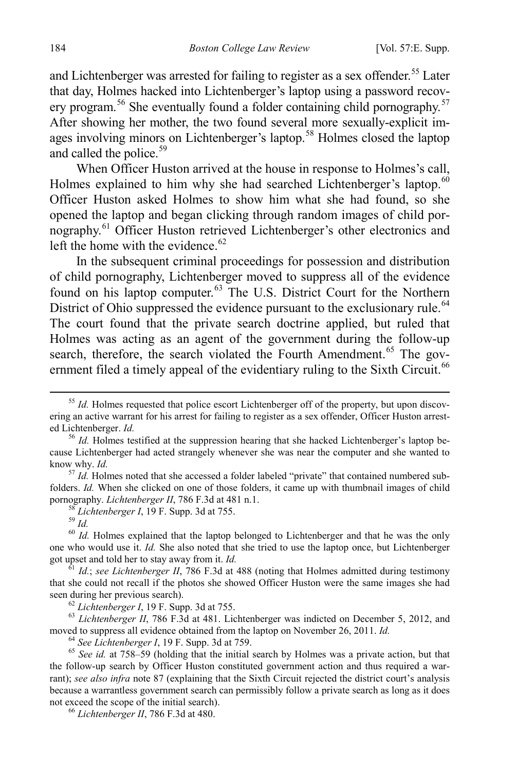and Lichtenberger was arrested for failing to register as a sex offender.<sup>[55](#page-8-0)</sup> Later that day, Holmes hacked into Lichtenberger's laptop using a password recov-ery program.<sup>[56](#page-8-1)</sup> She eventually found a folder containing child pornography.<sup>[57](#page-8-2)</sup> After showing her mother, the two found several more sexually-explicit im-ages involving minors on Lichtenberger's laptop.<sup>[58](#page-8-3)</sup> Holmes closed the laptop and called the police.<sup>[59](#page-8-4)</sup>

When Officer Huston arrived at the house in response to Holmes's call, Holmes explained to him why she had searched Lichtenberger's laptop.<sup>[60](#page-8-5)</sup> Officer Huston asked Holmes to show him what she had found, so she opened the laptop and began clicking through random images of child pornography.<sup>61</sup> Officer Huston retrieved Lichtenberger's other electronics and left the home with the evidence. $62$ 

In the subsequent criminal proceedings for possession and distribution of child pornography, Lichtenberger moved to suppress all of the evidence found on his laptop computer.<sup>[63](#page-8-8)</sup> The U.S. District Court for the Northern District of Ohio suppressed the evidence pursuant to the exclusionary rule.<sup>[64](#page-8-9)</sup> The court found that the private search doctrine applied, but ruled that Holmes was acting as an agent of the government during the follow-up search, therefore, the search violated the Fourth Amendment.<sup>[65](#page-8-10)</sup> The gov-ernment filed a timely appeal of the evidentiary ruling to the Sixth Circuit.<sup>[66](#page-8-11)</sup>

<span id="page-8-2"></span><sup>57</sup> *Id.* Holmes noted that she accessed a folder labeled "private" that contained numbered subfolders. *Id.* When she clicked on one of those folders, it came up with thumbnail images of child pornography. *Lichtenberger II*, 786 F.3d at 481 n.1.<br><sup>58</sup> *Lichtenberger I*, 19 F. Supp. 3d at 755.<br><sup>59</sup> *Id.*<br><sup>60</sup> *Id.* Holmes explained that the laptop belonged to Lichtenberger and that he was the only

<span id="page-8-5"></span><span id="page-8-4"></span><span id="page-8-3"></span>one who would use it. *Id*. She also noted that she tried to use the laptop once, but Lichtenberger got upset and told her to stay away from it. *Id*.

<span id="page-8-6"></span> $\frac{61}{1}$  *Id.*; *see Lichtenberger II*, 786 F.3d at 488 (noting that Holmes admitted during testimony that she could not recall if the photos she showed Officer Huston were the same images she had seen during her previous search).

<span id="page-8-8"></span><span id="page-8-7"></span><sup>62</sup> Lichtenberger I, 19 F. Supp. 3d at 755.<br><sup>63</sup> Lichtenberger II, 786 F.3d at 481. Lichtenberger was indicted on December 5, 2012, and moved to suppress all evidence obtained from the laptop on November 26, 2011. *Id.*<br><sup>64</sup> See Lichtenberger I, 19 F. Supp. 3d at 759.<br><sup>65</sup> See id. at 758–59 (holding that the initial search by Holmes was a private action, b

<span id="page-8-10"></span><span id="page-8-9"></span>the follow-up search by Officer Huston constituted government action and thus required a warrant); *see also infra* note [87](#page-11-0) (explaining that the Sixth Circuit rejected the district court's analysis because a warrantless government search can permissibly follow a private search as long as it does not exceed the scope of the initial search). <sup>66</sup> *Lichtenberger II*, 786 F.3d at 480.

<span id="page-8-11"></span>

<span id="page-8-0"></span><sup>&</sup>lt;sup>55</sup> *Id.* Holmes requested that police escort Lichtenberger off of the property, but upon discovering an active warrant for his arrest for failing to register as a sex offender, Officer Huston arrest-<br>ed Lichtenberger. Id.

<span id="page-8-1"></span><sup>&</sup>lt;sup>56</sup> *Id.* Holmes testified at the suppression hearing that she hacked Lichtenberger's laptop because Lichtenberger had acted strangely whenever she was near the computer and she wanted to know why. *Id.*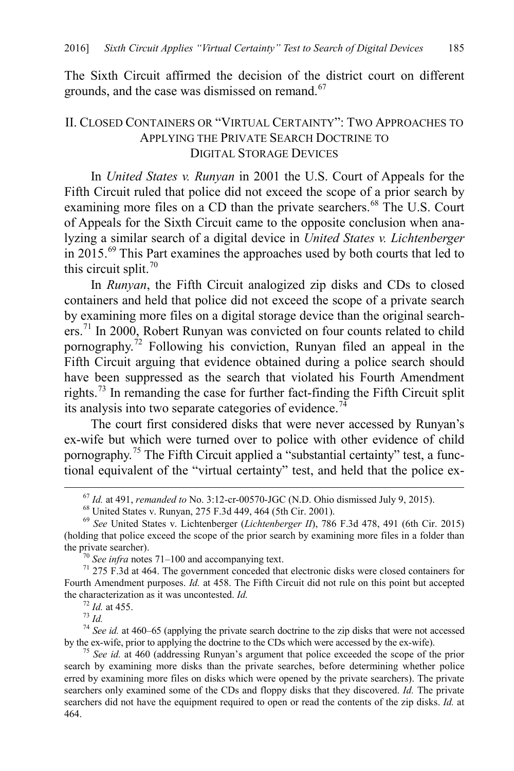<span id="page-9-0"></span>The Sixth Circuit affirmed the decision of the district court on different grounds, and the case was dismissed on remand.<sup>[67](#page-9-3)</sup>

## II. CLOSED CONTAINERS OR "VIRTUAL CERTAINTY": TWO APPROACHES TO APPLYING THE PRIVATE SEARCH DOCTRINE TO DIGITAL STORAGE DEVICES

<span id="page-9-1"></span>In *United States v. Runyan* in 2001 the U.S. Court of Appeals for the Fifth Circuit ruled that police did not exceed the scope of a prior search by examining more files on a CD than the private searchers.<sup>[68](#page-9-4)</sup> The U.S. Court of Appeals for the Sixth Circuit came to the opposite conclusion when analyzing a similar search of a digital device in *United States v. Lichtenberger* in 2015.<sup>69</sup> This Part examines the approaches used by both courts that led to this circuit split. $70$ 

<span id="page-9-2"></span>In *Runyan*, the Fifth Circuit analogized zip disks and CDs to closed containers and held that police did not exceed the scope of a private search by examining more files on a digital storage device than the original search-ers.<sup>[71](#page-9-7)</sup> In 2000, Robert Runyan was convicted on four counts related to child pornography.<sup> $72$ </sup> Following his conviction, Runyan filed an appeal in the Fifth Circuit arguing that evidence obtained during a police search should have been suppressed as the search that violated his Fourth Amendment rights.[73](#page-9-9) In remanding the case for further fact-finding the Fifth Circuit split its analysis into two separate categories of evidence.<sup>[74](#page-9-10)</sup>

The court first considered disks that were never accessed by Runyan's ex-wife but which were turned over to police with other evidence of child pornography.<sup>[75](#page-9-11)</sup> The Fifth Circuit applied a "substantial certainty" test, a functional equivalent of the "virtual certainty" test, and held that the police ex-

<span id="page-9-9"></span><span id="page-9-8"></span><sup>72</sup> *Id.* at 455.<br><sup>73</sup> *Id.*  $^{74}$  *See id.* at 460–65 (applying the private search doctrine to the zip disks that were not accessed by the ex-wife, prior to applying the doctrine to the CDs which were accessed by the e

<sup>&</sup>lt;sup>67</sup> *Id.* at 491, *remanded to* No. 3:12-cr-00570-JGC (N.D. Ohio dismissed July 9, 2015).<br><sup>68</sup> United States v. Runyan, 275 F.3d 449, 464 (5th Cir. 2001).<br><sup>69</sup> *See* United States v. Lichtenberger (*Lichtenberger II*), 7

<span id="page-9-5"></span><span id="page-9-4"></span><span id="page-9-3"></span><sup>(</sup>holding that police exceed the scope of the prior search by examining more files in a folder than the private searcher).

<span id="page-9-7"></span><span id="page-9-6"></span><sup>&</sup>lt;sup>70</sup> *See infra* note[s 71–](#page-9-2)[100](#page-13-1) and accompanying text.  $\frac{71}{275}$  T.3d at 464. The government conceded that electronic disks were closed containers for Fourth Amendment purposes. *Id.* at 458. The Fifth Circuit did not rule on this point but accepted the characterization as it was uncontested. *Id.* 

<span id="page-9-11"></span><span id="page-9-10"></span><sup>&</sup>lt;sup>75</sup> *See id.* at 460 (addressing Runyan's argument that police exceeded the scope of the prior search by examining more disks than the private searches, before determining whether police erred by examining more files on disks which were opened by the private searchers). The private searchers only examined some of the CDs and floppy disks that they discovered. *Id.* The private searchers did not have the equipment required to open or read the contents of the zip disks. *Id.* at 464.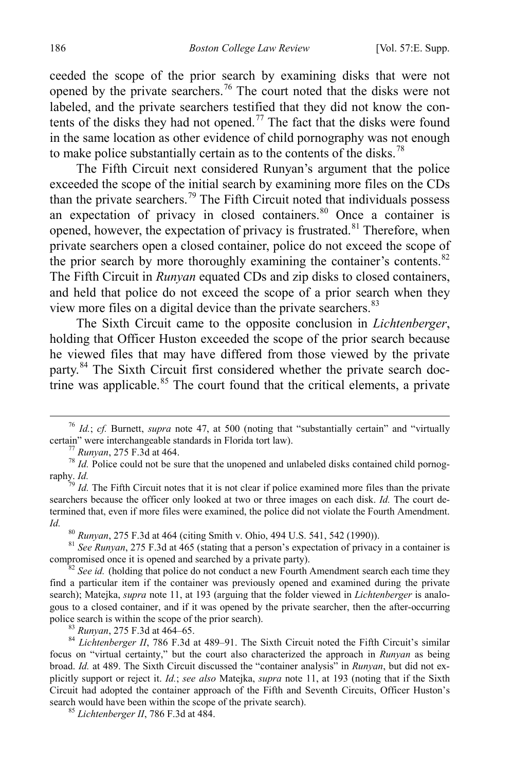ceeded the scope of the prior search by examining disks that were not opened by the private searchers.<sup>[76](#page-10-0)</sup> The court noted that the disks were not labeled, and the private searchers testified that they did not know the con-tents of the disks they had not opened.<sup>[77](#page-10-1)</sup> The fact that the disks were found in the same location as other evidence of child pornography was not enough to make police substantially certain as to the contents of the disks.<sup>[78](#page-10-2)</sup>

The Fifth Circuit next considered Runyan's argument that the police exceeded the scope of the initial search by examining more files on the CDs than the private searchers.<sup>[79](#page-10-3)</sup> The Fifth Circuit noted that individuals possess an expectation of privacy in closed containers. $80$  Once a container is opened, however, the expectation of privacy is frustrated.<sup>[81](#page-10-5)</sup> Therefore, when private searchers open a closed container, police do not exceed the scope of the prior search by more thoroughly examining the container's contents.<sup>[82](#page-10-6)</sup> The Fifth Circuit in *Runyan* equated CDs and zip disks to closed containers, and held that police do not exceed the scope of a prior search when they view more files on a digital device than the private searchers.<sup>[83](#page-10-7)</sup>

The Sixth Circuit came to the opposite conclusion in *Lichtenberger*, holding that Officer Huston exceeded the scope of the prior search because he viewed files that may have differed from those viewed by the private party.<sup>[84](#page-10-8)</sup> The Sixth Circuit first considered whether the private search doc-trine was applicable.<sup>[85](#page-10-9)</sup> The court found that the critical elements, a private

<span id="page-10-5"></span><span id="page-10-4"></span>*Id.* <sup>80</sup> *Runyan*, 275 F.3d at 464 (citing Smith v. Ohio, 494 U.S. 541, 542 (1990)). <sup>81</sup> *See Runyan*, 275 F.3d at 465 (stating that a person's expectation of privacy in a container is compromised once it is opened and

<span id="page-10-6"></span> $\frac{82}{3}$  *See id.* (holding that police do not conduct a new Fourth Amendment search each time they find a particular item if the container was previously opened and examined during the private search); Matejka, *supra* not[e 11,](#page-3-9) at 193 (arguing that the folder viewed in *Lichtenberger* is analogous to a closed container, and if it was opened by the private searcher, then the after-occurring police search is within the scope of the prior search).

<span id="page-10-8"></span><span id="page-10-7"></span>police search is within the scope of the prior search). <sup>83</sup> *Runyan*, 275 F.3d at 464–65. <sup>84</sup> *Lichtenberger II*, 786 F.3d at 489–91. The Sixth Circuit noted the Fifth Circuit's similar focus on "virtual certainty," but the court also characterized the approach in *Runyan* as being broad. *Id.* at 489. The Sixth Circuit discussed the "container analysis" in *Runyan*, but did not explicitly support or reject it. *Id.*; *see also* Matejka, *supra* note [11,](#page-3-9) at 193 (noting that if the Sixth Circuit had adopted the container approach of the Fifth and Seventh Circuits, Officer Huston's search would have been within the scope of the private search). 85 *Lichtenberger II*, 786 F.3d at 484.

<span id="page-10-9"></span>

<span id="page-10-0"></span><sup>&</sup>lt;sup>76</sup> *Id.*; *cf.* Burnett, *supra* note [47,](#page-7-11) at 500 (noting that "substantially certain" and "virtually certain" were interchangeable standards in Florida tort law).

<span id="page-10-2"></span><span id="page-10-1"></span><sup>&</sup>lt;sup>77</sup> *Runyan*, 275 F.3d at 464. *Police standards in Florida tort law)*  $\frac{78}{3}$  *Id.* Police could not be sure that the unopened and unlabeled disks contained child pornography. *Id.* <sup>79</sup> *Id.* The Fifth Circuit notes that it is not clear if police examined more files than the private

<span id="page-10-3"></span>searchers because the officer only looked at two or three images on each disk. *Id.* The court determined that, even if more files were examined, the police did not violate the Fourth Amendment.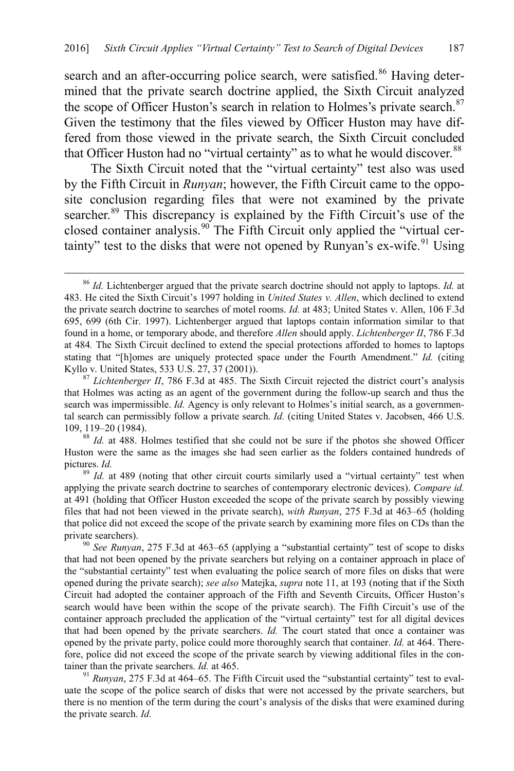<span id="page-11-0"></span>search and an after-occurring police search, were satisfied.<sup>[86](#page-11-1)</sup> Having determined that the private search doctrine applied, the Sixth Circuit analyzed the scope of Officer Huston's search in relation to Holmes's private search.<sup>[87](#page-11-2)</sup> Given the testimony that the files viewed by Officer Huston may have differed from those viewed in the private search, the Sixth Circuit concluded that Officer Huston had no "virtual certainty" as to what he would discover.<sup>[88](#page-11-3)</sup>

The Sixth Circuit noted that the "virtual certainty" test also was used by the Fifth Circuit in *Runyan*; however, the Fifth Circuit came to the opposite conclusion regarding files that were not examined by the private searcher.<sup>[89](#page-11-4)</sup> This discrepancy is explained by the Fifth Circuit's use of the closed container analysis.<sup>[90](#page-11-5)</sup> The Fifth Circuit only applied the "virtual cer-tainty" test to the disks that were not opened by Runyan's ex-wife. <sup>[91](#page-11-6)</sup> Using

<span id="page-11-1"></span> <sup>86</sup> *Id.* Lichtenberger argued that the private search doctrine should not apply to laptops. *Id.* at 483. He cited the Sixth Circuit's 1997 holding in *United States v. Allen*, which declined to extend the private search doctrine to searches of motel rooms. *Id.* at 483; United States v. Allen, 106 F.3d 695, 699 (6th Cir. 1997). Lichtenberger argued that laptops contain information similar to that found in a home, or temporary abode, and therefore *Allen* should apply. *Lichtenberger II*, 786 F.3d at 484*.* The Sixth Circuit declined to extend the special protections afforded to homes to laptops stating that "[h]omes are uniquely protected space under the Fourth Amendment." *Id.* (citing Kyllo v. United States, 533 U.S. 27, 37 (2001)).

<span id="page-11-2"></span><sup>&</sup>lt;sup>87</sup> *Lichtenberger II*, 786 F.3d at 485. The Sixth Circuit rejected the district court's analysis that Holmes was acting as an agent of the government during the follow-up search and thus the search was impermissible. *Id.* Agency is only relevant to Holmes's initial search, as a governmental search can permissibly follow a private search. *Id.* (citing United States v. Jacobsen, 466 U.S. 109, 119–20 (1984). 88 *Id.* at 488. Holmes testified that she could not be sure if the photos she showed Officer

<span id="page-11-3"></span>Huston were the same as the images she had seen earlier as the folders contained hundreds of pictures. *Id.* <sup>89</sup> *Id.* at 489 (noting that other circuit courts similarly used a "virtual certainty" test when

<span id="page-11-4"></span>applying the private search doctrine to searches of contemporary electronic devices). *Compare id.* at 491 (holding that Officer Huston exceeded the scope of the private search by possibly viewing files that had not been viewed in the private search), *with Runyan*, 275 F.3d at 463–65 (holding that police did not exceed the scope of the private search by examining more files on CDs than the private searchers).<br><sup>90</sup> *See Runyan*, 275 F.3d at 463–65 (applying a "substantial certainty" test of scope to disks

<span id="page-11-5"></span>that had not been opened by the private searchers but relying on a container approach in place of the "substantial certainty" test when evaluating the police search of more files on disks that were opened during the private search); *see also* Matejka, *supra* not[e 11,](#page-3-9) at 193 (noting that if the Sixth Circuit had adopted the container approach of the Fifth and Seventh Circuits, Officer Huston's search would have been within the scope of the private search). The Fifth Circuit's use of the container approach precluded the application of the "virtual certainty" test for all digital devices that had been opened by the private searchers. *Id.* The court stated that once a container was opened by the private party, police could more thoroughly search that container. *Id.* at 464. Therefore, police did not exceed the scope of the private search by viewing additional files in the container than the private searchers. *Id.* at 465.<br><sup>91</sup> *Runyan*, 275 F.3d at 464–65. The Fifth Circuit used the "substantial certainty" test to eval-

<span id="page-11-6"></span>uate the scope of the police search of disks that were not accessed by the private searchers, but there is no mention of the term during the court's analysis of the disks that were examined during the private search. *Id.*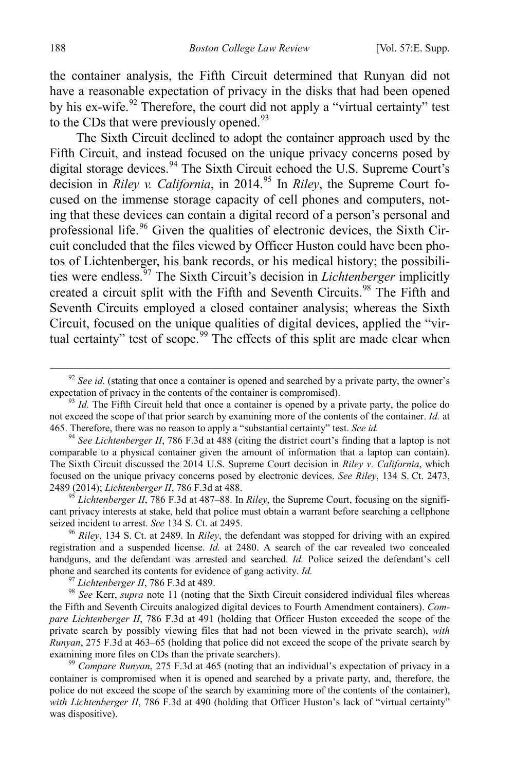the container analysis, the Fifth Circuit determined that Runyan did not have a reasonable expectation of privacy in the disks that had been opened by his ex-wife.<sup>[92](#page-12-0)</sup> Therefore, the court did not apply a "virtual certainty" test to the CDs that were previously opened. $93$ 

The Sixth Circuit declined to adopt the container approach used by the Fifth Circuit, and instead focused on the unique privacy concerns posed by digital storage devices.<sup>[94](#page-12-2)</sup> The Sixth Circuit echoed the U.S. Supreme Court's decision in *Riley v. California*, in 2014.<sup>[95](#page-12-3)</sup> In *Riley*, the Supreme Court focused on the immense storage capacity of cell phones and computers, noting that these devices can contain a digital record of a person's personal and professional life.<sup>[96](#page-12-4)</sup> Given the qualities of electronic devices, the Sixth Circuit concluded that the files viewed by Officer Huston could have been photos of Lichtenberger, his bank records, or his medical history; the possibilities were endless.[97](#page-12-5) The Sixth Circuit's decision in *Lichtenberger* implicitly created a circuit split with the Fifth and Seventh Circuits. [98](#page-12-6) The Fifth and Seventh Circuits employed a closed container analysis; whereas the Sixth Circuit, focused on the unique qualities of digital devices, applied the "vir-tual certainty" test of scope.<sup>[99](#page-12-7)</sup> The effects of this split are made clear when

<span id="page-12-3"></span> $^{95}$  *Lichtenberger II*, 786 F.3d at 487–88. In *Riley*, the Supreme Court, focusing on the significant privacy interests at stake, held that police must obtain a warrant before searching a cellphone seized incident to arrest. *See* 134 S. Ct. at 2495.<br><sup>96</sup> *Riley*, 134 S. Ct. at 2489. In *Riley*, the defendant was stopped for driving with an expired

<span id="page-12-4"></span>registration and a suspended license. *Id.* at 2480. A search of the car revealed two concealed handguns, and the defendant was arrested and searched. *Id.* Police seized the defendant's cell

<span id="page-12-6"></span><span id="page-12-5"></span>phone and searched its contents for evidence of gang activity. *Id.*<br><sup>97</sup> Lichtenberger II, 786 F.3d at 489.<br><sup>98</sup> See Kerr, *supra* note [11](#page-3-9) (noting that the Sixth Circuit considered individual files whereas the Fifth and Seventh Circuits analogized digital devices to Fourth Amendment containers). *Compare Lichtenberger II*, 786 F.3d at 491 (holding that Officer Huston exceeded the scope of the private search by possibly viewing files that had not been viewed in the private search), *with Runyan*, 275 F.3d at 463–65 (holding that police did not exceed the scope of the private search by examining more files on CDs than the private searchers).

<span id="page-12-7"></span><sup>99</sup> Compare Runyan, 275 F.3d at 465 (noting that an individual's expectation of privacy in a container is compromised when it is opened and searched by a private party, and, therefore, the police do not exceed the scope of the search by examining more of the contents of the container), *with Lichtenberger II*, 786 F.3d at 490 (holding that Officer Huston's lack of "virtual certainty" was dispositive).

<span id="page-12-0"></span> $92$  *See id.* (stating that once a container is opened and searched by a private party, the owner's expectation of privacy in the contents of the container is compromised).

<span id="page-12-1"></span><sup>&</sup>lt;sup>93</sup> Id. The Fifth Circuit held that once a container is opened by a private party, the police do not exceed the scope of that prior search by examining more of the contents of the container. *Id.* at 465. Therefore, there was no reason to apply a "substantial certainty" test. *See id.* 

<span id="page-12-2"></span><sup>&</sup>lt;sup>94</sup> See Lichtenberger *II*, 786 F.3d at 488 (citing the district court's finding that a laptop is not comparable to a physical container given the amount of information that a laptop can contain). The Sixth Circuit discussed the 2014 U.S. Supreme Court decision in *Riley v. California*, which focused on the unique privacy concerns posed by electronic devices. *See Riley*, 134 S. Ct. 2473,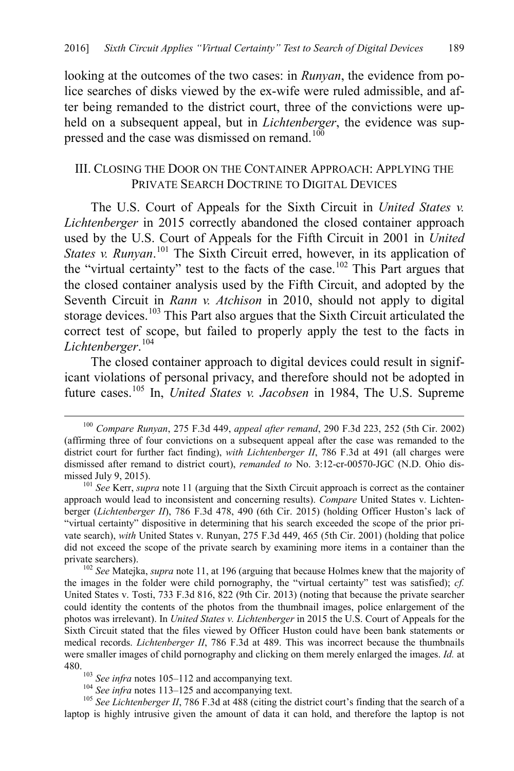looking at the outcomes of the two cases: in *Runyan*, the evidence from police searches of disks viewed by the ex-wife were ruled admissible, and after being remanded to the district court, three of the convictions were upheld on a subsequent appeal, but in *Lichtenberger*, the evidence was suppressed and the case was dismissed on remand.<sup>100</sup>

#### <span id="page-13-1"></span>III. CLOSING THE DOOR ON THE CONTAINER APPROACH: APPLYING THE PRIVATE SEARCH DOCTRINE TO DIGITAL DEVICES

<span id="page-13-0"></span>The U.S. Court of Appeals for the Sixth Circuit in *United States v. Lichtenberger* in 2015 correctly abandoned the closed container approach used by the U.S. Court of Appeals for the Fifth Circuit in 2001 in *United States v. Runyan*. [101](#page-13-4) The Sixth Circuit erred, however, in its application of the "virtual certainty" test to the facts of the case.<sup>[102](#page-13-5)</sup> This Part argues that the closed container analysis used by the Fifth Circuit, and adopted by the Seventh Circuit in *Rann v. Atchison* in 2010, should not apply to digital storage devices.<sup>[103](#page-13-6)</sup> This Part also argues that the Sixth Circuit articulated the correct test of scope, but failed to properly apply the test to the facts in *Lichtenberger*. [104](#page-13-7)

<span id="page-13-2"></span>The closed container approach to digital devices could result in significant violations of personal privacy, and therefore should not be adopted in future cases.[105](#page-13-8) In, *United States v. Jacobsen* in 1984, The U.S. Supreme

<span id="page-13-5"></span>the images in the folder were child pornography, the "virtual certainty" test was satisfied); *cf.*  United States v. Tosti, 733 F.3d 816, 822 (9th Cir. 2013) (noting that because the private searcher could identity the contents of the photos from the thumbnail images, police enlargement of the photos was irrelevant). In *United States v. Lichtenberger* in 2015 the U.S. Court of Appeals for the Sixth Circuit stated that the files viewed by Officer Huston could have been bank statements or medical records. *Lichtenberger II*, 786 F.3d at 489. This was incorrect because the thumbnails were smaller images of child pornography and clicking on them merely enlarged the images. *Id.* at 480.<br><sup>103</sup> See infra notes [105–](#page-13-2)[112](#page-14-0) and accompanying text.<br><sup>104</sup> See infra notes [113–](#page-15-0)[125](#page-16-0) and accompanying text.<br><sup>105</sup> See Lichtenberger II, 786 F.3d at 488 (citing the district court's finding that the search of a

<span id="page-13-8"></span><span id="page-13-7"></span><span id="page-13-6"></span>laptop is highly intrusive given the amount of data it can hold, and therefore the laptop is not

<span id="page-13-3"></span> <sup>100</sup> *Compare Runyan*, 275 F.3d 449, *appeal after remand*, 290 F.3d 223, <sup>252</sup> (5th Cir. 2002) (affirming three of four convictions on a subsequent appeal after the case was remanded to the district court for further fact finding), *with Lichtenberger II*, 786 F.3d at 491 (all charges were dismissed after remand to district court), *remanded to* No. 3:12-cr-00570-JGC (N.D. Ohio dismissed July 9, 2015).<br><sup>101</sup> *See* Kerr, *supra* note [11](#page-3-9) (arguing that the Sixth Circuit approach is correct as the container

<span id="page-13-4"></span>approach would lead to inconsistent and concerning results). *Compare* United States v. Lichtenberger (*Lichtenberger II*), 786 F.3d 478, 490 (6th Cir. 2015) (holding Officer Huston's lack of "virtual certainty" dispositive in determining that his search exceeded the scope of the prior private search), *with* United States v. Runyan, 275 F.3d 449, 465 (5th Cir. 2001) (holding that police did not exceed the scope of the private search by examining more items in a container than the private searchers).<br><sup>102</sup> *See* Matejka, *supra* not[e 11,](#page-3-9) at 196 (arguing that because Holmes knew that the majority of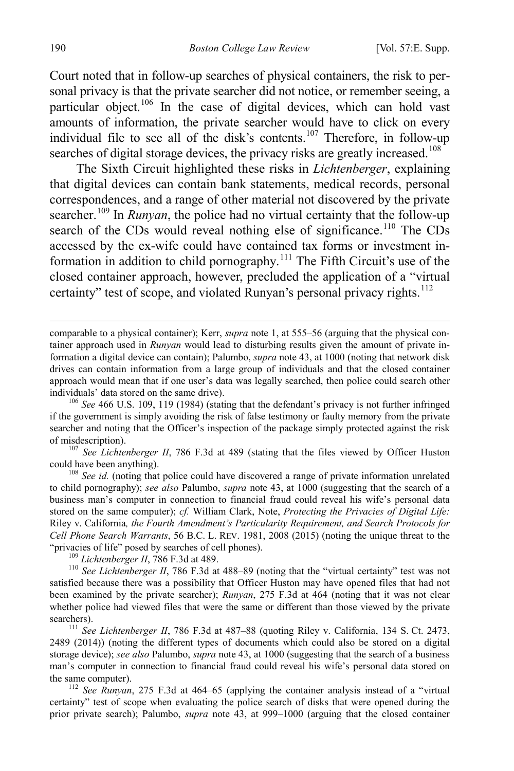Court noted that in follow-up searches of physical containers, the risk to personal privacy is that the private searcher did not notice, or remember seeing, a particular object.<sup>[106](#page-14-1)</sup> In the case of digital devices, which can hold vast amounts of information, the private searcher would have to click on every individual file to see all of the disk's contents.<sup>[107](#page-14-2)</sup> Therefore, in follow-up searches of digital storage devices, the privacy risks are greatly increased.<sup>[108](#page-14-3)</sup>

The Sixth Circuit highlighted these risks in *Lichtenberger*, explaining that digital devices can contain bank statements, medical records, personal correspondences, and a range of other material not discovered by the private searcher.<sup>[109](#page-14-4)</sup> In *Runyan*, the police had no virtual certainty that the follow-up search of the CDs would reveal nothing else of significance.<sup>110</sup> The CDs accessed by the ex-wife could have contained tax forms or investment in-formation in addition to child pornography.<sup>[111](#page-14-6)</sup> The Fifth Circuit's use of the closed container approach, however, precluded the application of a "virtual certainty" test of scope, and violated Runyan's personal privacy rights.<sup>[112](#page-14-7)</sup>

<span id="page-14-0"></span> comparable to a physical container); Kerr, *supra* note [1,](#page-1-0) at 555–56 (arguing that the physical container approach used in *Runyan* would lead to disturbing results given the amount of private information a digital device can contain); Palumbo, *supra* not[e 43,](#page-6-1) at 1000 (noting that network disk drives can contain information from a large group of individuals and that the closed container approach would mean that if one user's data was legally searched, then police could search other individuals' data stored on the same drive).

<span id="page-14-1"></span> $106$  *See* 466 U.S. 109, 119 (1984) (stating that the defendant's privacy is not further infringed if the government is simply avoiding the risk of false testimony or faulty memory from the private searcher and noting that the Officer's inspection of the package simply protected against the risk

<span id="page-14-2"></span>of misdescription).<br><sup>107</sup> *See Lichtenberger II*, 786 F.3d at 489 (stating that the files viewed by Officer Huston could have been anything).

<span id="page-14-3"></span><sup>108</sup> *See id.* (noting that police could have discovered a range of private information unrelated to child pornography); *see also* Palumbo, *supra* note [43,](#page-6-1) at 1000 (suggesting that the search of a business man's computer in connection to financial fraud could reveal his wife's personal data stored on the same computer); *cf.* William Clark, Note, *Protecting the Privacies of Digital Life:*  Riley v. California*, the Fourth Amendment's Particularity Requirement, and Search Protocols for Cell Phone Search Warrants*, 56 B.C. L. REV. 1981, 2008 (2015) (noting the unique threat to the

<span id="page-14-5"></span><span id="page-14-4"></span><sup>109</sup> Lichtenberger *II*, 786 F.3d at 489.<br><sup>110</sup> *See Lichtenberger II*, 786 F.3d at 488–89 (noting that the "virtual certainty" test was not satisfied because there was a possibility that Officer Huston may have opened files that had not been examined by the private searcher); *Runyan*, 275 F.3d at 464 (noting that it was not clear whether police had viewed files that were the same or different than those viewed by the private searchers).<br><sup>111</sup> *See Lichtenberger II*, 786 F.3d at 487–88 (quoting Riley v. California, 134 S. Ct. 2473,

<span id="page-14-6"></span>2489 (2014)) (noting the different types of documents which could also be stored on a digital storage device); *see also* Palumbo, *supra* not[e 43,](#page-6-1) at 1000 (suggesting that the search of a business man's computer in connection to financial fraud could reveal his wife's personal data stored on the same computer). <sup>112</sup> *See Runyan*, 275 F.3d at 464–65 (applying the container analysis instead of a "virtual

<span id="page-14-7"></span>certainty" test of scope when evaluating the police search of disks that were opened during the prior private search); Palumbo, *supra* note [43,](#page-6-1) at 999–1000 (arguing that the closed container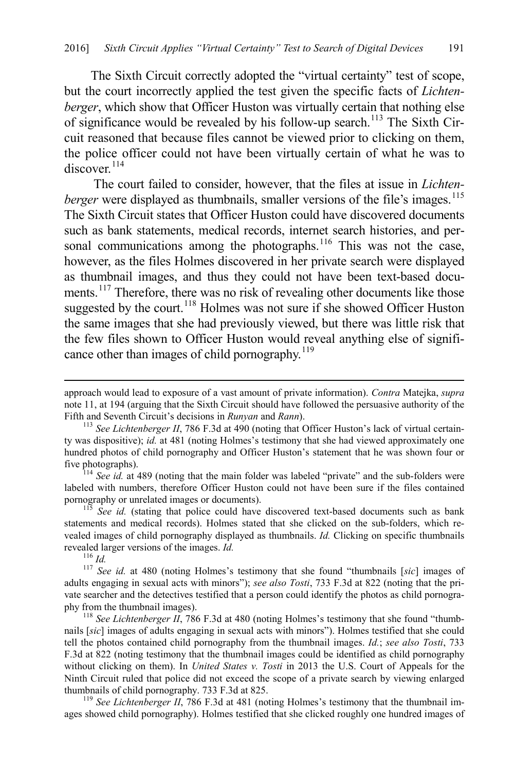<span id="page-15-0"></span>The Sixth Circuit correctly adopted the "virtual certainty" test of scope, but the court incorrectly applied the test given the specific facts of *Lichtenberger*, which show that Officer Huston was virtually certain that nothing else of significance would be revealed by his follow-up search.<sup>[113](#page-15-1)</sup> The Sixth Circuit reasoned that because files cannot be viewed prior to clicking on them, the police officer could not have been virtually certain of what he was to  $discover$ <sup>[114](#page-15-2)</sup>

The court failed to consider, however, that the files at issue in *Lichtenberger* were displayed as thumbnails, smaller versions of the file's images.<sup>[115](#page-15-3)</sup> The Sixth Circuit states that Officer Huston could have discovered documents such as bank statements, medical records, internet search histories, and per-sonal communications among the photographs.<sup>[116](#page-15-4)</sup> This was not the case, however, as the files Holmes discovered in her private search were displayed as thumbnail images, and thus they could not have been text-based docu-ments.<sup>[117](#page-15-5)</sup> Therefore, there was no risk of revealing other documents like those suggested by the court.<sup>[118](#page-15-6)</sup> Holmes was not sure if she showed Officer Huston the same images that she had previously viewed, but there was little risk that the few files shown to Officer Huston would reveal anything else of significance other than images of child pornography. $119$ 

<span id="page-15-2"></span><sup>114</sup> *See id.* at 489 (noting that the main folder was labeled "private" and the sub-folders were labeled with numbers, therefore Officer Huston could not have been sure if the files contained pornography or unrelated images or documents).

<span id="page-15-3"></span><sup>115</sup> *See id.* (stating that police could have discovered text-based documents such as bank statements and medical records). Holmes stated that she clicked on the sub-folders, which revealed images of child pornography displayed as thumbnails. *Id.* Clicking on specific thumbnails revealed larger versions of the images. *Id.*<br><sup>116</sup> *Id.* <sup>117</sup> *See id.* at 480 (noting Holmes's testimony that she found "thumbnails [*sic*] images of

<span id="page-15-5"></span><span id="page-15-4"></span>adults engaging in sexual acts with minors"); *see also Tosti*, 733 F.3d at 822 (noting that the private searcher and the detectives testified that a person could identify the photos as child pornography from the thumbnail images).<br><sup>118</sup> *See Lichtenberger II*, 786 F.3d at 480 (noting Holmes's testimony that she found "thumb-

<span id="page-15-6"></span>nails [*sic*] images of adults engaging in sexual acts with minors"). Holmes testified that she could tell the photos contained child pornography from the thumbnail images. *Id.*; *see also Tosti*, 733 F.3d at 822 (noting testimony that the thumbnail images could be identified as child pornography without clicking on them). In *United States v. Tosti* in 2013 the U.S. Court of Appeals for the Ninth Circuit ruled that police did not exceed the scope of a private search by viewing enlarged thumbnails of child pornography. 733 F.3d at 825.<br><sup>119</sup> *See Lichtenberger II*, 786 F.3d at 481 (noting Holmes's testimony that the thumbnail im-

<span id="page-15-7"></span>ages showed child pornography). Holmes testified that she clicked roughly one hundred images of

approach would lead to exposure of a vast amount of private information). *Contra* Matejka, *supra* note [11,](#page-3-9) at 194 (arguing that the Sixth Circuit should have followed the persuasive authority of the Fifth and Seventh Circuit's decisions in *Runyan* and *Rann*).<br><sup>113</sup> *See Lichtenberger II*, 786 F.3d at 490 (noting that Officer Huston's lack of virtual certain-

<span id="page-15-1"></span>ty was dispositive); *id.* at 481 (noting Holmes's testimony that she had viewed approximately one hundred photos of child pornography and Officer Huston's statement that he was shown four or five photographs).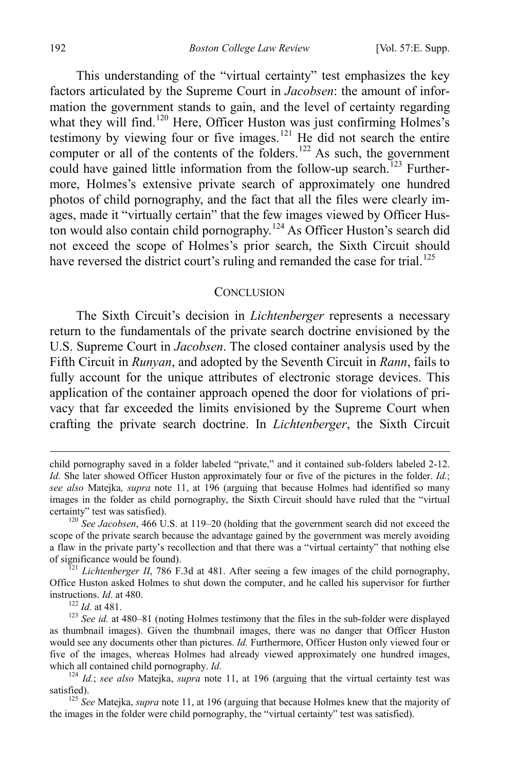This understanding of the "virtual certainty" test emphasizes the key factors articulated by the Supreme Court in *Jacobsen*: the amount of information the government stands to gain, and the level of certainty regarding what they will find.<sup>[120](#page-16-1)</sup> Here, Officer Huston was just confirming Holmes's testimony by viewing four or five images.<sup>[121](#page-16-2)</sup> He did not search the entire computer or all of the contents of the folders.<sup>[122](#page-16-3)</sup> As such, the government could have gained little information from the follow-up search.<sup> $123$ </sup> Furthermore, Holmes's extensive private search of approximately one hundred photos of child pornography, and the fact that all the files were clearly images, made it "virtually certain" that the few images viewed by Officer Hus-ton would also contain child pornography.<sup>[124](#page-16-5)</sup> As Officer Huston's search did not exceed the scope of Holmes's prior search, the Sixth Circuit should have reversed the district court's ruling and remanded the case for trial.<sup>[125](#page-16-6)</sup>

#### <span id="page-16-0"></span>**CONCLUSION**

The Sixth Circuit's decision in *Lichtenberger* represents a necessary return to the fundamentals of the private search doctrine envisioned by the U.S. Supreme Court in *Jacobsen*. The closed container analysis used by the Fifth Circuit in *Runyan*, and adopted by the Seventh Circuit in *Rann*, fails to fully account for the unique attributes of electronic storage devices. This application of the container approach opened the door for violations of privacy that far exceeded the limits envisioned by the Supreme Court when crafting the private search doctrine. In *Lichtenberger*, the Sixth Circuit

child pornography saved in a folder labeled "private," and it contained sub-folders labeled 2-12. *Id.* She later showed Officer Huston approximately four or five of the pictures in the folder. *Id.*; *see also* Matejka*, supra* note [11,](#page-3-9) at 196 (arguing that because Holmes had identified so many images in the folder as child pornography, the Sixth Circuit should have ruled that the "virtual certainty" test was satisfied). <sup>120</sup> *See Jacobsen*, 466 U.S. at 119–20 (holding that the government search did not exceed the

<span id="page-16-1"></span>scope of the private search because the advantage gained by the government was merely avoiding a flaw in the private party's recollection and that there was a "virtual certainty" that nothing else

<span id="page-16-2"></span><sup>&</sup>lt;sup>121</sup> *Lichtenberger II*, 786 F.3d at 481. After seeing a few images of the child pornography, Office Huston asked Holmes to shut down the computer, and he called his supervisor for further instructions. *Id.* at 480.

<span id="page-16-4"></span><span id="page-16-3"></span><sup>&</sup>lt;sup>122</sup> *Id.* at 481.<br><sup>123</sup> *See id.* at 480–81 (noting Holmes testimony that the files in the sub-folder were displayed as thumbnail images). Given the thumbnail images, there was no danger that Officer Huston would see any documents other than pictures. *Id.* Furthermore, Officer Huston only viewed four or five of the images, whereas Holmes had already viewed approximately one hundred images, which all contained child pornography. *Id.*<br><sup>124</sup> *Id.*; *see also* Matejka, *supra* note [11,](#page-3-9) at 196 (arguing that the virtual certainty test was

<span id="page-16-5"></span>satisfied).<br><sup>125</sup> *See* Matejka, *supra* not[e 11,](#page-3-9) at 196 (arguing that because Holmes knew that the majority of

<span id="page-16-6"></span>the images in the folder were child pornography, the "virtual certainty" test was satisfied).